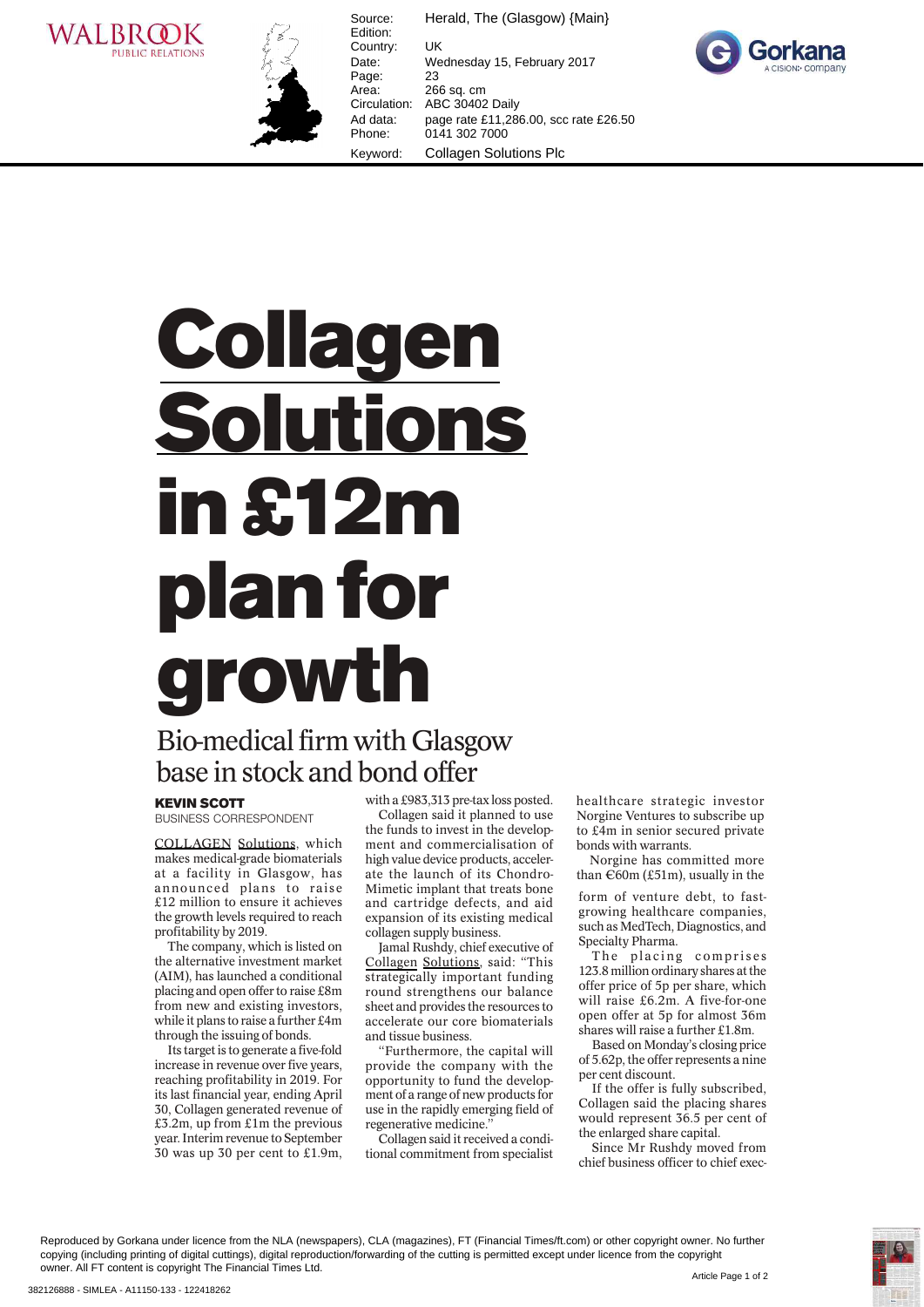



Source: Herald, The (Glasgow) {Main} Edition: Country: UK Date: Wednesday 15, February 2017 Page: 23<br>Area: 26 Area: 266 sq. cm<br>Circulation: ABC 30402 ABC 30402 Daily Ad data: page rate £11,286.00, scc rate £26.50 Phone: 0141 302 7000 Keyword: Collagen Solutions Plc



## **Collagen<br>Solutions** in  $$12m$ plan for growth

## Bio-medical firm with G<br>base in stock and bond o Bio-medical firm with Glasgow base in stock and bond offer

BUSINESS CORRESPONDENT

COLLAGEN Solutions, which makes medical-grade biomaterials at a facility in Glasgow, has announced plans to raise £12 million to ensure it achieves the growth levels required to reach profitability by 2019.

The company, which is listed on the alternative investment market (AIM), has launched a conditional placing and open offer to raise £8m from new and existing investors, while it plans to raise a further £4m through the issuing of bonds.

Its target is to generate a five-fold increase in revenue over five years, reaching profitability in 2019. For its last financial year, ending April 30, Collagen generated revenue of £3.2m, up from £1m the previous year. Interim revenue to September 30 was up 30 per cent to £1.9m, with a £983,313 pre-tax loss posted.

Collagen said it planned to use the funds to invest in the development and commercialisation of high value device products, accelerate the launch of its Chondro-Mimetic implant that treats bone and cartridge defects, and aid expansion of its existing medical collagen supply business.

Jamal Rushdy, chief executive of Collagen Solutions, said: "This strategically important funding round strengthens our balance sheet and provides the resources to accelerate our core biomaterials and tissue business.

"Furthermore, the capital will provide the company with the opportunity to fund the development of a range of new products for use in the rapidly emerging field of regenerative medicine."

Collagen said it received a conditional commitment from specialist healthcare strategic investor Norgine Ventures to subscribe up to £4m in senior secured private bonds with warrants.

Norgine has committed more than  $\epsilon$ 60m (£51m), usually in the

form of venture debt, to fastgrowing healthcare companies, such as MedTech, Diagnostics, and Specialty Pharma.

The placing comprises 123.8 million ordinary shares at the offer price of 5p per share, which will raise £6.2m. A five-for-one open offer at 5p for almost 36m shares will raise a further £1.8m.

Based on Monday's closing price of 5.62p, the offer represents a nine per cent discount.

If the offer is fully subscribed, Collagen said the placing shares would represent 36.5 per cent of the enlarged share capital.

Since Mr Rushdy moved from chief business officer to chief exec-

Reproduced by Gorkana under licence from the NLA (newspapers), CLA (magazines), FT (Financial Times/ft.com) or other copyright owner. No further copying (including printing of digital cuttings), digital reproduction/forwarding of the cutting is permitted except under licence from the copyright owner. All FT content is copyright The Financial Times Ltd.